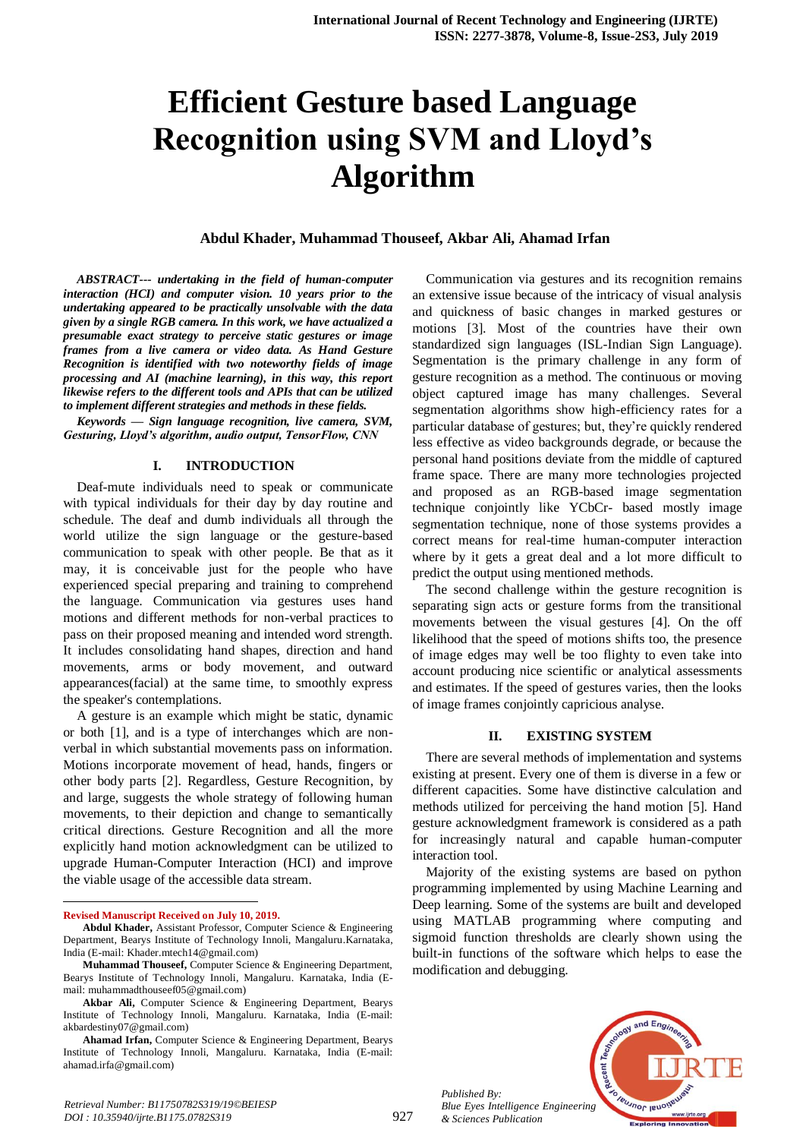# **Efficient Gesture based Language Recognition using SVM and Lloyd's Algorithm**

#### **Abdul Khader, Muhammad Thouseef, Akbar Ali, Ahamad Irfan**

*ABSTRACT--- undertaking in the field of human-computer interaction (HCI) and computer vision. 10 years prior to the undertaking appeared to be practically unsolvable with the data given by a single RGB camera. In this work, we have actualized a presumable exact strategy to perceive static gestures or image frames from a live camera or video data. As Hand Gesture Recognition is identified with two noteworthy fields of image processing and AI (machine learning), in this way, this report likewise refers to the different tools and APIs that can be utilized to implement different strategies and methods in these fields.*

*Keywords — Sign language recognition, live camera, SVM, Gesturing, Lloyd's algorithm, audio output, TensorFlow, CNN*

#### **I. INTRODUCTION**

Deaf-mute individuals need to speak or communicate with typical individuals for their day by day routine and schedule. The deaf and dumb individuals all through the world utilize the sign language or the gesture-based communication to speak with other people. Be that as it may, it is conceivable just for the people who have experienced special preparing and training to comprehend the language. Communication via gestures uses hand motions and different methods for non-verbal practices to pass on their proposed meaning and intended word strength. It includes consolidating hand shapes, direction and hand movements, arms or body movement, and outward appearances(facial) at the same time, to smoothly express the speaker's contemplations.

A gesture is an example which might be static, dynamic or both [1], and is a type of interchanges which are nonverbal in which substantial movements pass on information. Motions incorporate movement of head, hands, fingers or other body parts [2]. Regardless, Gesture Recognition, by and large, suggests the whole strategy of following human movements, to their depiction and change to semantically critical directions. Gesture Recognition and all the more explicitly hand motion acknowledgment can be utilized to upgrade Human-Computer Interaction (HCI) and improve the viable usage of the accessible data stream.

**Revised Manuscript Received on July 10, 2019.**

1

Communication via gestures and its recognition remains an extensive issue because of the intricacy of visual analysis and quickness of basic changes in marked gestures or motions [3]. Most of the countries have their own standardized sign languages (ISL-Indian Sign Language). Segmentation is the primary challenge in any form of gesture recognition as a method. The continuous or moving object captured image has many challenges. Several segmentation algorithms show high-efficiency rates for a particular database of gestures; but, they're quickly rendered less effective as video backgrounds degrade, or because the personal hand positions deviate from the middle of captured frame space. There are many more technologies projected and proposed as an RGB-based image segmentation technique conjointly like YCbCr- based mostly image segmentation technique, none of those systems provides a correct means for real-time human-computer interaction where by it gets a great deal and a lot more difficult to predict the output using mentioned methods.

The second challenge within the gesture recognition is separating sign acts or gesture forms from the transitional movements between the visual gestures [4]. On the off likelihood that the speed of motions shifts too, the presence of image edges may well be too flighty to even take into account producing nice scientific or analytical assessments and estimates. If the speed of gestures varies, then the looks of image frames conjointly capricious analyse.

#### **II. EXISTING SYSTEM**

There are several methods of implementation and systems existing at present. Every one of them is diverse in a few or different capacities. Some have distinctive calculation and methods utilized for perceiving the hand motion [5]. Hand gesture acknowledgment framework is considered as a path for increasingly natural and capable human-computer interaction tool.

Majority of the existing systems are based on python programming implemented by using Machine Learning and Deep learning. Some of the systems are built and developed using MATLAB programming where computing and sigmoid function thresholds are clearly shown using the built-in functions of the software which helps to ease the modification and debugging.

*Published By: Blue Eyes Intelligence Engineering & Sciences Publication* 



**Abdul Khader,** Assistant Professor, Computer Science & Engineering Department, Bearys Institute of Technology Innoli, Mangaluru.Karnataka, India (E-mail: Khader.mtech14@gmail.com)

**Muhammad Thouseef,** Computer Science & Engineering Department, Bearys Institute of Technology Innoli, Mangaluru. Karnataka, India (Email: muhammadthouseef05@gmail.com)

**Akbar Ali,** Computer Science & Engineering Department, Bearys Institute of Technology Innoli, Mangaluru. Karnataka, India (E-mail: akbardestiny07@gmail.com)

**Ahamad Irfan,** Computer Science & Engineering Department, Bearys Institute of Technology Innoli, Mangaluru. Karnataka, India (E-mail: ahamad.irfa@gmail.com)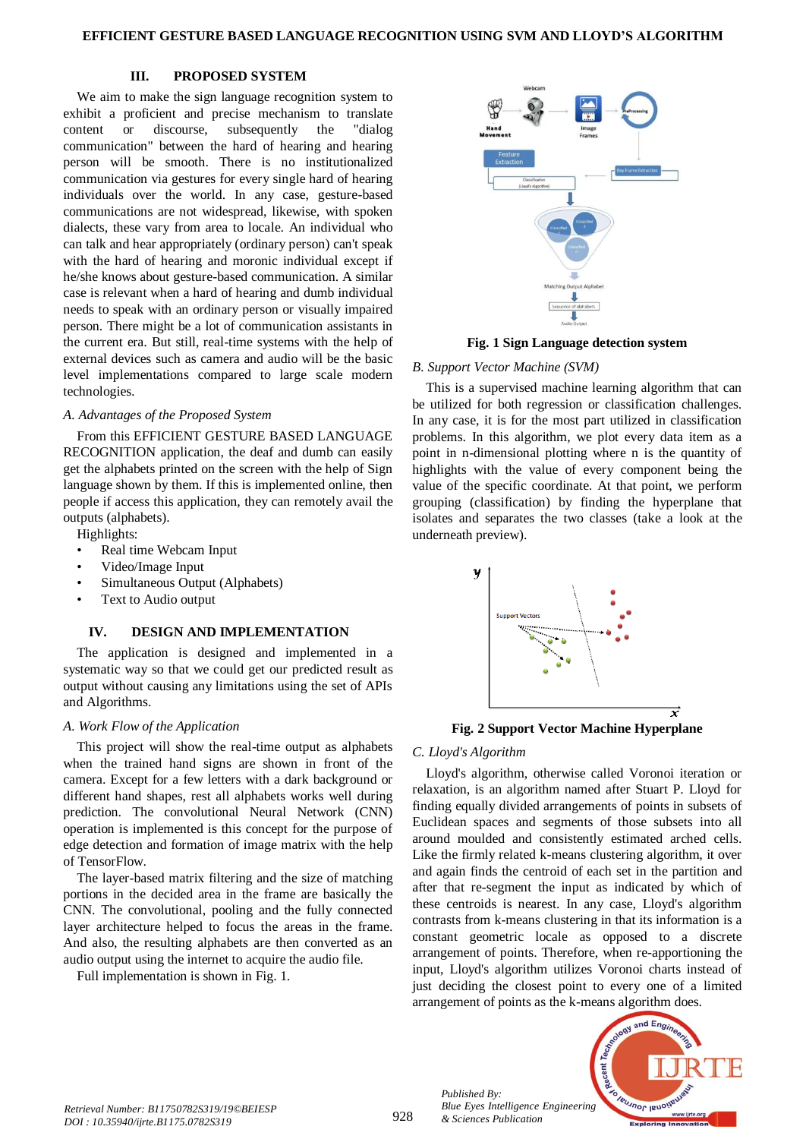#### **III. PROPOSED SYSTEM**

We aim to make the sign language recognition system to exhibit a proficient and precise mechanism to translate content or discourse, subsequently the "dialog communication" between the hard of hearing and hearing person will be smooth. There is no institutionalized communication via gestures for every single hard of hearing individuals over the world. In any case, gesture-based communications are not widespread, likewise, with spoken dialects, these vary from area to locale. An individual who can talk and hear appropriately (ordinary person) can't speak with the hard of hearing and moronic individual except if he/she knows about gesture-based communication. A similar case is relevant when a hard of hearing and dumb individual needs to speak with an ordinary person or visually impaired person. There might be a lot of communication assistants in the current era. But still, real-time systems with the help of external devices such as camera and audio will be the basic level implementations compared to large scale modern technologies.

#### *A. Advantages of the Proposed System*

From this EFFICIENT GESTURE BASED LANGUAGE RECOGNITION application, the deaf and dumb can easily get the alphabets printed on the screen with the help of Sign language shown by them. If this is implemented online, then people if access this application, they can remotely avail the outputs (alphabets).

Highlights:

- Real time Webcam Input
- Video/Image Input
- Simultaneous Output (Alphabets)
- Text to Audio output

#### **IV. DESIGN AND IMPLEMENTATION**

The application is designed and implemented in a systematic way so that we could get our predicted result as output without causing any limitations using the set of APIs and Algorithms.

#### *A. Work Flow of the Application*

This project will show the real-time output as alphabets when the trained hand signs are shown in front of the camera. Except for a few letters with a dark background or different hand shapes, rest all alphabets works well during prediction. The convolutional Neural Network (CNN) operation is implemented is this concept for the purpose of edge detection and formation of image matrix with the help of TensorFlow.

The layer-based matrix filtering and the size of matching portions in the decided area in the frame are basically the CNN. The convolutional, pooling and the fully connected layer architecture helped to focus the areas in the frame. And also, the resulting alphabets are then converted as an audio output using the internet to acquire the audio file.

Full implementation is shown in Fig. 1.



**Fig. 1 Sign Language detection system**

#### *B. Support Vector Machine (SVM)*

This is a supervised machine learning algorithm that can be utilized for both regression or classification challenges. In any case, it is for the most part utilized in classification problems. In this algorithm, we plot every data item as a point in n-dimensional plotting where n is the quantity of highlights with the value of every component being the value of the specific coordinate. At that point, we perform grouping (classification) by finding the hyperplane that isolates and separates the two classes (take a look at the underneath preview).



**Fig. 2 Support Vector Machine Hyperplane**

#### *C. Lloyd's Algorithm*

*Published By:*

*& Sciences Publication* 

Lloyd's algorithm, otherwise called Voronoi iteration or relaxation, is an algorithm named after Stuart P. Lloyd for finding equally divided arrangements of points in subsets of Euclidean spaces and segments of those subsets into all around moulded and consistently estimated arched cells. Like the firmly related k-means clustering algorithm, it over and again finds the centroid of each set in the partition and after that re-segment the input as indicated by which of these centroids is nearest. In any case, Lloyd's algorithm contrasts from k-means clustering in that its information is a constant geometric locale as opposed to a discrete arrangement of points. Therefore, when re-apportioning the input, Lloyd's algorithm utilizes Voronoi charts instead of just deciding the closest point to every one of a limited arrangement of points as the k-means algorithm does.

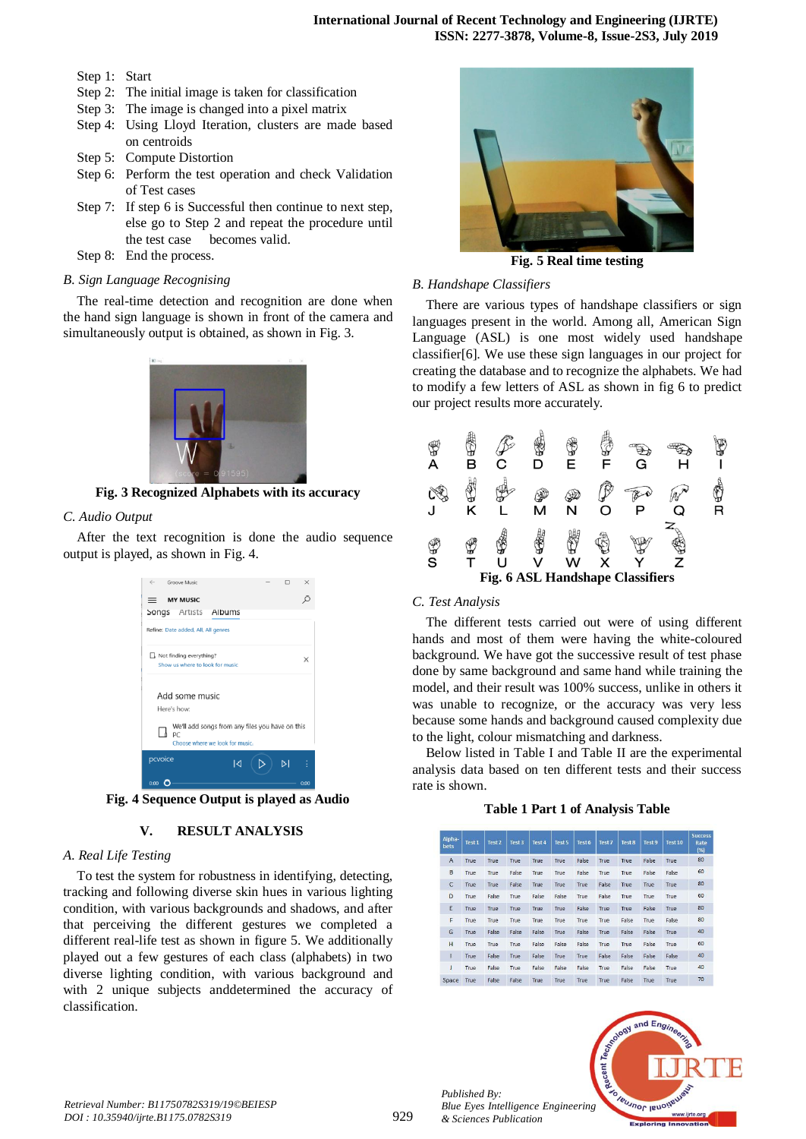Step 1: Start

- Step 2: The initial image is taken for classification
- Step 3: The image is changed into a pixel matrix
- Step 4: Using Lloyd Iteration, clusters are made based on centroids
- Step 5: Compute Distortion
- Step 6: Perform the test operation and check Validation of Test cases
- Step 7: If step 6 is Successful then continue to next step, else go to Step 2 and repeat the procedure until the test case becomes valid.
- Step 8: End the process.
- *B. Sign Language Recognising*

The real-time detection and recognition are done when the hand sign language is shown in front of the camera and simultaneously output is obtained, as shown in Fig. 3.



**Fig. 3 Recognized Alphabets with its accuracy**

# *C. Audio Output*

After the text recognition is done the audio sequence output is played, as shown in Fig. 4.



**Fig. 4 Sequence Output is played as Audio**

# **V. RESULT ANALYSIS**

## *A. Real Life Testing*

To test the system for robustness in identifying, detecting, tracking and following diverse skin hues in various lighting condition, with various backgrounds and shadows, and after that perceiving the different gestures we completed a different real-life test as shown in figure 5. We additionally played out a few gestures of each class (alphabets) in two diverse lighting condition, with various background and with 2 unique subjects anddetermined the accuracy of classification.



**Fig. 5 Real time testing**

## *B. Handshape Classifiers*

There are various types of handshape classifiers or sign languages present in the world. Among all, American Sign Language (ASL) is one most widely used handshape classifier[6]. We use these sign languages in our project for creating the database and to recognize the alphabets. We had to modify a few letters of ASL as shown in fig 6 to predict our project results more accurately.

|         |  |   | G                                |   |  |
|---------|--|---|----------------------------------|---|--|
|         |  |   |                                  |   |  |
| ें<br>S |  | w | Fig. 6 ASL Handshape Classifiers | z |  |

## *C. Test Analysis*

The different tests carried out were of using different hands and most of them were having the white-coloured background. We have got the successive result of test phase done by same background and same hand while training the model, and their result was 100% success, unlike in others it was unable to recognize, or the accuracy was very less because some hands and background caused complexity due to the light, colour mismatching and darkness.

Below listed in Table I and Table II are the experimental analysis data based on ten different tests and their success rate is shown.

| Alpha-<br>bets | Test 1      | Test 2      | Test 3       | Test 4 | Test 5 | Test 6 | Test 7      | Test 8       | Test 9 | Test 10 | <b>Success</b><br>Rate<br>(%) |
|----------------|-------------|-------------|--------------|--------|--------|--------|-------------|--------------|--------|---------|-------------------------------|
| $\overline{A}$ | True        | True        | True         | True   | True   | False  | True        | True         | False  | True    | 80                            |
| B              | <b>True</b> | True        | False        | True   | True   | False  | True        | True         | False  | False   | 60                            |
| C              | True        | <b>True</b> | False        | True   | True   | True   | False       | True         | True   | True    | 80                            |
| D              | True        | False       | True         | False  | False  | True   | False       | True         | True   | True    | 60                            |
| E              | True        | True        | True         | True   | True   | False  | True        | True         | False  | True    | 80                            |
| F              | True        | True        | True         | True   | True   | True   | True        | False        | True   | False   | 80                            |
| G              | True        | False       | <b>False</b> | False  | True   | False  | <b>True</b> | <b>False</b> | False  | True    | 40                            |
| H              | True        | True        | True         | False  | False  | False  | True        | True         | False  | True    | 60                            |
| ī              | <b>True</b> | False       | True         | False  | True   | True   | False       | False        | False  | False   | 40                            |
| J              | True        | False       | True         | False  | False  | False  | True        | False        | False  | True    | 40                            |
| Space          | True        | False       | False        | True   | True   | True   | True        | False        | True   | True    | 70                            |



*Published By:*

*& Sciences Publication*